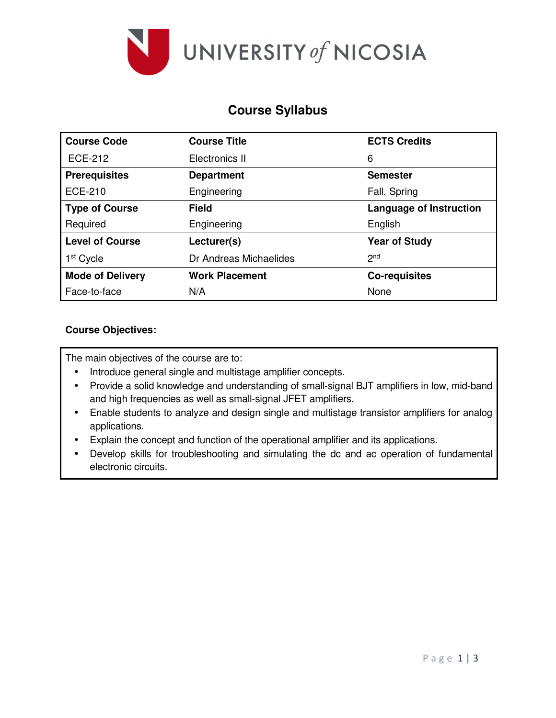

# **Course Syllabus**

| <b>Course Code</b>      | <b>Course Title</b>    | <b>ECTS Credits</b>            |  |  |
|-------------------------|------------------------|--------------------------------|--|--|
| <b>ECE-212</b>          | Electronics II         | 6                              |  |  |
| <b>Prerequisites</b>    | <b>Department</b>      | <b>Semester</b>                |  |  |
| <b>ECE-210</b>          | Engineering            | Fall, Spring                   |  |  |
| <b>Type of Course</b>   | <b>Field</b>           | <b>Language of Instruction</b> |  |  |
| Required                | Engineering            | English                        |  |  |
| <b>Level of Course</b>  | Lecturer(s)            | <b>Year of Study</b>           |  |  |
| 1 <sup>st</sup> Cycle   | Dr Andreas Michaelides | 2 <sub>nd</sub>                |  |  |
| <b>Mode of Delivery</b> | <b>Work Placement</b>  | <b>Co-requisites</b>           |  |  |
| Face-to-face            | N/A                    | None                           |  |  |

### **Course Objectives:**

The main objectives of the course are to:

- Introduce general single and multistage amplifier concepts.
- Provide a solid knowledge and understanding of small-signal BJT amplifiers in low, mid-band and high frequencies as well as small-signal JFET amplifiers.
- Enable students to analyze and design single and multistage transistor amplifiers for analog applications.
- Explain the concept and function of the operational amplifier and its applications.
- Develop skills for troubleshooting and simulating the dc and ac operation of fundamental electronic circuits.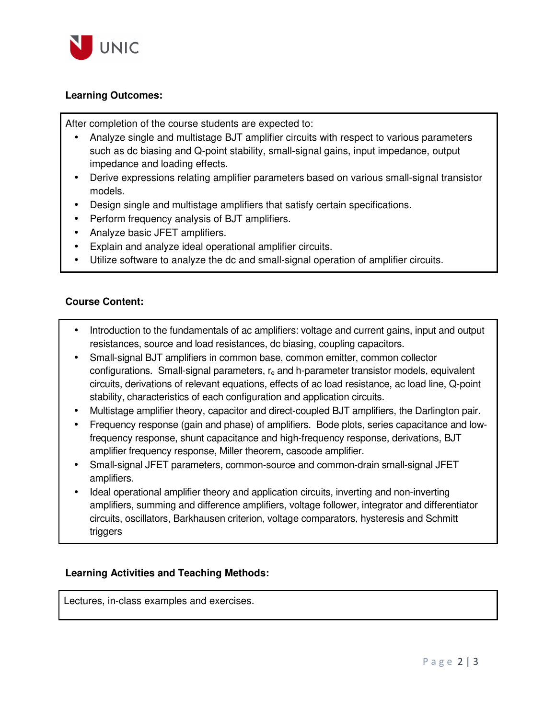

#### **Learning Outcomes:**

After completion of the course students are expected to:

- Analyze single and multistage BJT amplifier circuits with respect to various parameters such as dc biasing and Q-point stability, small-signal gains, input impedance, output impedance and loading effects.
- Derive expressions relating amplifier parameters based on various small-signal transistor models.
- Design single and multistage amplifiers that satisfy certain specifications.
- Perform frequency analysis of BJT amplifiers.
- Analyze basic JFET amplifiers.
- Explain and analyze ideal operational amplifier circuits.
- Utilize software to analyze the dc and small-signal operation of amplifier circuits.

#### **Course Content:**

- Introduction to the fundamentals of ac amplifiers: voltage and current gains, input and output resistances, source and load resistances, dc biasing, coupling capacitors.
- Small-signal BJT amplifiers in common base, common emitter, common collector configurations. Small-signal parameters, r<sub>e</sub> and h-parameter transistor models, equivalent circuits, derivations of relevant equations, effects of ac load resistance, ac load line, Q-point stability, characteristics of each configuration and application circuits.
- Multistage amplifier theory, capacitor and direct-coupled BJT amplifiers, the Darlington pair.
- Frequency response (gain and phase) of amplifiers. Bode plots, series capacitance and lowfrequency response, shunt capacitance and high-frequency response, derivations, BJT amplifier frequency response, Miller theorem, cascode amplifier.
- Small-signal JFET parameters, common-source and common-drain small-signal JFET amplifiers.
- Ideal operational amplifier theory and application circuits, inverting and non-inverting amplifiers, summing and difference amplifiers, voltage follower, integrator and differentiator circuits, oscillators, Barkhausen criterion, voltage comparators, hysteresis and Schmitt triggers

#### **Learning Activities and Teaching Methods:**

Lectures, in-class examples and exercises.